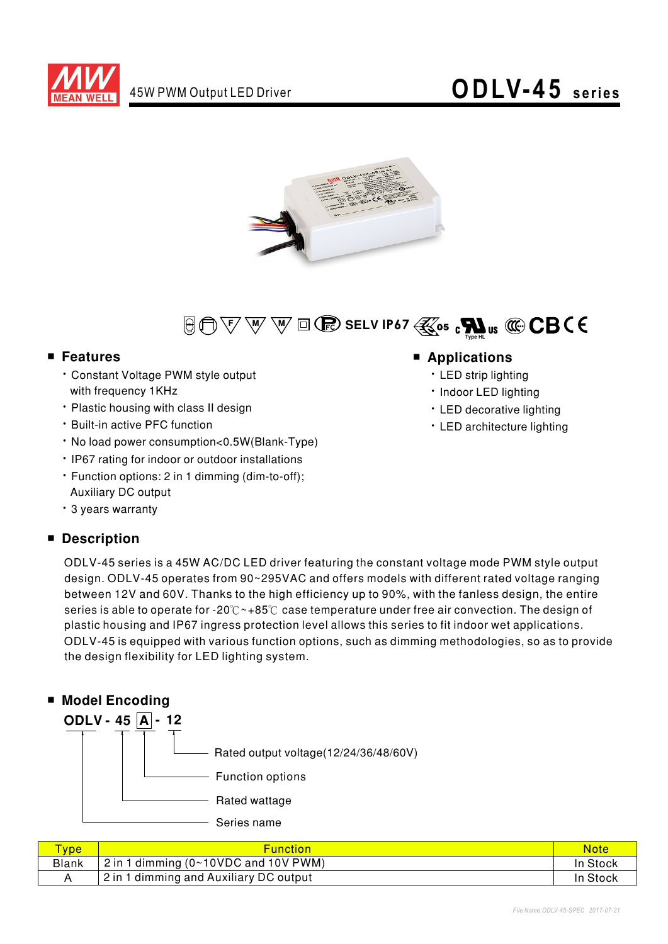





#### ■ **Features**

- Constant Voltage PWM style output with frequency 1KHz
- Plastic housing with class II design
- Built-in active PFC function
- No load power consumption<0.5W(Blank-Type)
- IP67 rating for indoor or outdoor installations
- Function options: 2 in 1 dimming (dim-to-off); Auxiliary DC output
- ‧3yearswarranty

### ■ **Description**

### ■ **Applications**

- LED strip lighting
- Indoor LED lighting
- LED decorative lighting
- LED architecture lighting

ODLV-45seriesisa45WAC/DC LEDdriverfeaturingtheconstantvoltagemodePWMstyleoutput design. ODLV-45 operates from 90~295VAC and offers models with different rated voltage ranging between 12V and 60V. Thanks to the high efficiency up to 90%, with the fanless design, the entire series is able to operate for -20℃~+85℃ case temperature under free air convection. The design of ODLV-45 is equipped with various function options, such as dimming methodologies, so as to provide the design flexibility for LED lighting system. plastic housing and IP67 ingress protection level allows this series to fit indoor wet applications.



| <b>VDe</b>   | <b>Function</b>                        | Note     |
|--------------|----------------------------------------|----------|
| <b>Blank</b> | $2$ in 1 dimming (0~10VDC and 10V PWM) | In Stock |
|              | 2 in 1 dimming and Auxiliary DC output | In Stock |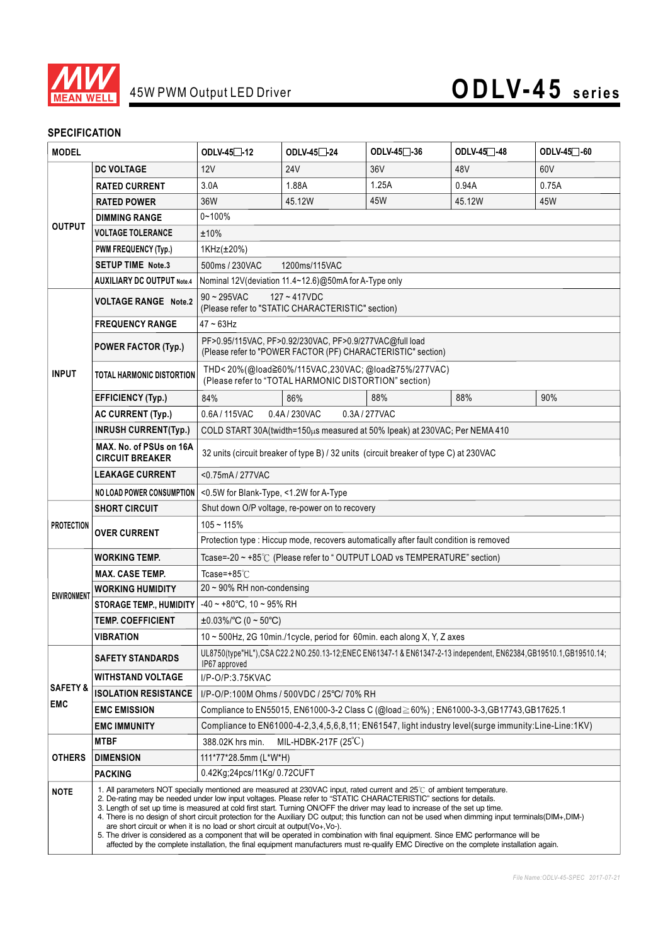

#### **SPECIFICATION**

| <b>MODEL</b>                                                                                                                                                                           |                                                                                                                                                                                                                                                                                                                                                                                                                                                                                                                                                                                                                                                                                                                                                                                                                                                                                                               | ODLV-45□-12                                                                                                                      | ODLV-45 <sup>-24</sup> | ODLV-45 <sup>-</sup> 36 | ODLV-45 <sup>-48</sup> | ODLV-45 <sup>-60</sup> |  |  |
|----------------------------------------------------------------------------------------------------------------------------------------------------------------------------------------|---------------------------------------------------------------------------------------------------------------------------------------------------------------------------------------------------------------------------------------------------------------------------------------------------------------------------------------------------------------------------------------------------------------------------------------------------------------------------------------------------------------------------------------------------------------------------------------------------------------------------------------------------------------------------------------------------------------------------------------------------------------------------------------------------------------------------------------------------------------------------------------------------------------|----------------------------------------------------------------------------------------------------------------------------------|------------------------|-------------------------|------------------------|------------------------|--|--|
|                                                                                                                                                                                        | <b>DC VOLTAGE</b>                                                                                                                                                                                                                                                                                                                                                                                                                                                                                                                                                                                                                                                                                                                                                                                                                                                                                             | 12V                                                                                                                              | 24 <sub>V</sub>        | 36 <sub>V</sub>         | 48V                    | 60V                    |  |  |
|                                                                                                                                                                                        | <b>RATED CURRENT</b>                                                                                                                                                                                                                                                                                                                                                                                                                                                                                                                                                                                                                                                                                                                                                                                                                                                                                          | 3.0A                                                                                                                             | 1.88A                  | 1.25A                   | 0.94A                  | 0.75A                  |  |  |
|                                                                                                                                                                                        | <b>RATED POWER</b>                                                                                                                                                                                                                                                                                                                                                                                                                                                                                                                                                                                                                                                                                                                                                                                                                                                                                            | 36W                                                                                                                              | 45.12W                 | 45W                     | 45.12W                 | 45W                    |  |  |
|                                                                                                                                                                                        | <b>DIMMING RANGE</b>                                                                                                                                                                                                                                                                                                                                                                                                                                                                                                                                                                                                                                                                                                                                                                                                                                                                                          | $0 - 100%$                                                                                                                       |                        |                         |                        |                        |  |  |
| <b>OUTPUT</b>                                                                                                                                                                          | <b>VOLTAGE TOLERANCE</b>                                                                                                                                                                                                                                                                                                                                                                                                                                                                                                                                                                                                                                                                                                                                                                                                                                                                                      | ±10%                                                                                                                             |                        |                         |                        |                        |  |  |
|                                                                                                                                                                                        | <b>PWM FREQUENCY (Typ.)</b>                                                                                                                                                                                                                                                                                                                                                                                                                                                                                                                                                                                                                                                                                                                                                                                                                                                                                   | 1KHz(±20%)                                                                                                                       |                        |                         |                        |                        |  |  |
|                                                                                                                                                                                        | <b>SETUP TIME Note.3</b>                                                                                                                                                                                                                                                                                                                                                                                                                                                                                                                                                                                                                                                                                                                                                                                                                                                                                      | 500ms / 230VAC<br>1200ms/115VAC                                                                                                  |                        |                         |                        |                        |  |  |
|                                                                                                                                                                                        | <b>AUXILIARY DC OUTPUT Note.4</b>                                                                                                                                                                                                                                                                                                                                                                                                                                                                                                                                                                                                                                                                                                                                                                                                                                                                             | Nominal 12V (deviation 11.4~12.6)@50mA for A-Type only                                                                           |                        |                         |                        |                        |  |  |
|                                                                                                                                                                                        | <b>VOLTAGE RANGE Note.2</b>                                                                                                                                                                                                                                                                                                                                                                                                                                                                                                                                                                                                                                                                                                                                                                                                                                                                                   | $90 - 295$ VAC<br>$127 - 417VDC$<br>(Please refer to "STATIC CHARACTERISTIC" section)                                            |                        |                         |                        |                        |  |  |
|                                                                                                                                                                                        | <b>FREQUENCY RANGE</b>                                                                                                                                                                                                                                                                                                                                                                                                                                                                                                                                                                                                                                                                                                                                                                                                                                                                                        | $47 - 63$ Hz                                                                                                                     |                        |                         |                        |                        |  |  |
|                                                                                                                                                                                        | <b>POWER FACTOR (Typ.)</b>                                                                                                                                                                                                                                                                                                                                                                                                                                                                                                                                                                                                                                                                                                                                                                                                                                                                                    | PF>0.95/115VAC, PF>0.92/230VAC, PF>0.9/277VAC@full load<br>(Please refer to "POWER FACTOR (PF) CHARACTERISTIC" section)          |                        |                         |                        |                        |  |  |
| <b>INPUT</b>                                                                                                                                                                           | TOTAL HARMONIC DISTORTION                                                                                                                                                                                                                                                                                                                                                                                                                                                                                                                                                                                                                                                                                                                                                                                                                                                                                     | THD<20%(@load≧60%/115VAC,230VAC;@load≧75%/277VAC)<br>(Please refer to "TOTAL HARMONIC DISTORTION" section)                       |                        |                         |                        |                        |  |  |
|                                                                                                                                                                                        | <b>EFFICIENCY (Typ.)</b>                                                                                                                                                                                                                                                                                                                                                                                                                                                                                                                                                                                                                                                                                                                                                                                                                                                                                      | 84%                                                                                                                              | 86%                    | 88%                     | 88%                    | 90%                    |  |  |
|                                                                                                                                                                                        | <b>AC CURRENT (Typ.)</b>                                                                                                                                                                                                                                                                                                                                                                                                                                                                                                                                                                                                                                                                                                                                                                                                                                                                                      | 0.6A / 115VAC<br>0.4A/230VAC<br>0.3A / 277VAC                                                                                    |                        |                         |                        |                        |  |  |
|                                                                                                                                                                                        | <b>INRUSH CURRENT(Typ.)</b>                                                                                                                                                                                                                                                                                                                                                                                                                                                                                                                                                                                                                                                                                                                                                                                                                                                                                   | COLD START 30A(twidth=150µs measured at 50% Ipeak) at 230VAC; Per NEMA 410                                                       |                        |                         |                        |                        |  |  |
| MAX. No. of PSUs on 16A<br>32 units (circuit breaker of type B) / 32 units (circuit breaker of type C) at 230VAC<br><b>CIRCUIT BREAKER</b><br><b>LEAKAGE CURRENT</b><br><0.75mA/277VAC |                                                                                                                                                                                                                                                                                                                                                                                                                                                                                                                                                                                                                                                                                                                                                                                                                                                                                                               |                                                                                                                                  |                        |                         |                        |                        |  |  |
|                                                                                                                                                                                        |                                                                                                                                                                                                                                                                                                                                                                                                                                                                                                                                                                                                                                                                                                                                                                                                                                                                                                               |                                                                                                                                  |                        |                         |                        |                        |  |  |
|                                                                                                                                                                                        | <b>NO LOAD POWER CONSUMPTION</b>                                                                                                                                                                                                                                                                                                                                                                                                                                                                                                                                                                                                                                                                                                                                                                                                                                                                              | <0.5W for Blank-Type, <1.2W for A-Type                                                                                           |                        |                         |                        |                        |  |  |
|                                                                                                                                                                                        | <b>SHORT CIRCUIT</b>                                                                                                                                                                                                                                                                                                                                                                                                                                                                                                                                                                                                                                                                                                                                                                                                                                                                                          | Shut down O/P voltage, re-power on to recovery                                                                                   |                        |                         |                        |                        |  |  |
| <b>PROTECTION</b>                                                                                                                                                                      | <b>OVER CURRENT</b>                                                                                                                                                                                                                                                                                                                                                                                                                                                                                                                                                                                                                                                                                                                                                                                                                                                                                           | $105 - 115%$                                                                                                                     |                        |                         |                        |                        |  |  |
|                                                                                                                                                                                        |                                                                                                                                                                                                                                                                                                                                                                                                                                                                                                                                                                                                                                                                                                                                                                                                                                                                                                               | Protection type : Hiccup mode, recovers automatically after fault condition is removed                                           |                        |                         |                        |                        |  |  |
|                                                                                                                                                                                        | WORKING TEMP.                                                                                                                                                                                                                                                                                                                                                                                                                                                                                                                                                                                                                                                                                                                                                                                                                                                                                                 | Tcase=-20 ~ +85℃ (Please refer to "OUTPUT LOAD vs TEMPERATURE" section)                                                          |                        |                         |                        |                        |  |  |
|                                                                                                                                                                                        | <b>MAX. CASE TEMP.</b>                                                                                                                                                                                                                                                                                                                                                                                                                                                                                                                                                                                                                                                                                                                                                                                                                                                                                        | Tcase=+85 $°C$                                                                                                                   |                        |                         |                        |                        |  |  |
| <b>ENVIRONMENT</b>                                                                                                                                                                     | <b>WORKING HUMIDITY</b>                                                                                                                                                                                                                                                                                                                                                                                                                                                                                                                                                                                                                                                                                                                                                                                                                                                                                       | 20 ~ 90% RH non-condensing                                                                                                       |                        |                         |                        |                        |  |  |
|                                                                                                                                                                                        | <b>STORAGE TEMP., HUMIDITY</b>                                                                                                                                                                                                                                                                                                                                                                                                                                                                                                                                                                                                                                                                                                                                                                                                                                                                                | $-40 \sim +80^{\circ}$ C, 10 ~ 95% RH                                                                                            |                        |                         |                        |                        |  |  |
|                                                                                                                                                                                        | <b>TEMP. COEFFICIENT</b>                                                                                                                                                                                                                                                                                                                                                                                                                                                                                                                                                                                                                                                                                                                                                                                                                                                                                      | $\pm 0.03\%$ /°C (0 ~ 50°C)                                                                                                      |                        |                         |                        |                        |  |  |
|                                                                                                                                                                                        | <b>VIBRATION</b>                                                                                                                                                                                                                                                                                                                                                                                                                                                                                                                                                                                                                                                                                                                                                                                                                                                                                              | 10 ~ 500Hz, 2G 10min./1cycle, period for 60min. each along X, Y, Z axes                                                          |                        |                         |                        |                        |  |  |
|                                                                                                                                                                                        | <b>SAFETY STANDARDS</b>                                                                                                                                                                                                                                                                                                                                                                                                                                                                                                                                                                                                                                                                                                                                                                                                                                                                                       | UL8750(type"HL"),CSAC22.2 NO.250.13-12;ENEC EN61347-1 & EN61347-2-13 independent, EN62384,GB19510.1,GB19510.14;<br>IP67 approved |                        |                         |                        |                        |  |  |
| <b>WITHSTAND VOLTAGE</b><br>I/P-O/P:3.75KVAC<br><b>SAFETY &amp;</b>                                                                                                                    |                                                                                                                                                                                                                                                                                                                                                                                                                                                                                                                                                                                                                                                                                                                                                                                                                                                                                                               |                                                                                                                                  |                        |                         |                        |                        |  |  |
|                                                                                                                                                                                        | <b>ISOLATION RESISTANCE</b>                                                                                                                                                                                                                                                                                                                                                                                                                                                                                                                                                                                                                                                                                                                                                                                                                                                                                   | I/P-O/P:100M Ohms / 500VDC / 25°C/ 70% RH                                                                                        |                        |                         |                        |                        |  |  |
| <b>EMC</b><br>Compliance to EN55015, EN61000-3-2 Class C (@load≧60%); EN61000-3-3,GB17743,GB17625.1<br><b>EMC EMISSION</b>                                                             |                                                                                                                                                                                                                                                                                                                                                                                                                                                                                                                                                                                                                                                                                                                                                                                                                                                                                                               |                                                                                                                                  |                        |                         |                        |                        |  |  |
|                                                                                                                                                                                        | Compliance to EN61000-4-2,3,4,5,6,8,11; EN61547, light industry level(surge immunity:Line-Line:1KV)<br><b>EMC IMMUNITY</b>                                                                                                                                                                                                                                                                                                                                                                                                                                                                                                                                                                                                                                                                                                                                                                                    |                                                                                                                                  |                        |                         |                        |                        |  |  |
|                                                                                                                                                                                        | <b>MTBF</b>                                                                                                                                                                                                                                                                                                                                                                                                                                                                                                                                                                                                                                                                                                                                                                                                                                                                                                   | MIL-HDBK-217F (25°C)<br>388.02K hrs min.                                                                                         |                        |                         |                        |                        |  |  |
| <b>OTHERS</b>                                                                                                                                                                          | <b>DIMENSION</b>                                                                                                                                                                                                                                                                                                                                                                                                                                                                                                                                                                                                                                                                                                                                                                                                                                                                                              | 111*77*28.5mm (L*W*H)                                                                                                            |                        |                         |                        |                        |  |  |
|                                                                                                                                                                                        | <b>PACKING</b>                                                                                                                                                                                                                                                                                                                                                                                                                                                                                                                                                                                                                                                                                                                                                                                                                                                                                                | 0.42Kg;24pcs/11Kg/ 0.72CUFT                                                                                                      |                        |                         |                        |                        |  |  |
| <b>NOTE</b>                                                                                                                                                                            | 1. All parameters NOT specially mentioned are measured at 230VAC input, rated current and 25°C of ambient temperature.<br>2. De-rating may be needed under low input voltages. Please refer to "STATIC CHARACTERISTIC" sections for details.<br>3. Length of set up time is measured at cold first start. Turning ON/OFF the driver may lead to increase of the set up time.<br>4. There is no design of short circuit protection for the Auxiliary DC output; this function can not be used when dimming input terminals(DIM+,DIM-)<br>are short circuit or when it is no load or short circuit at output $(Vo+,Vo-)$ .<br>5. The driver is considered as a component that will be operated in combination with final equipment. Since EMC performance will be<br>affected by the complete installation, the final equipment manufacturers must re-qualify EMC Directive on the complete installation again. |                                                                                                                                  |                        |                         |                        |                        |  |  |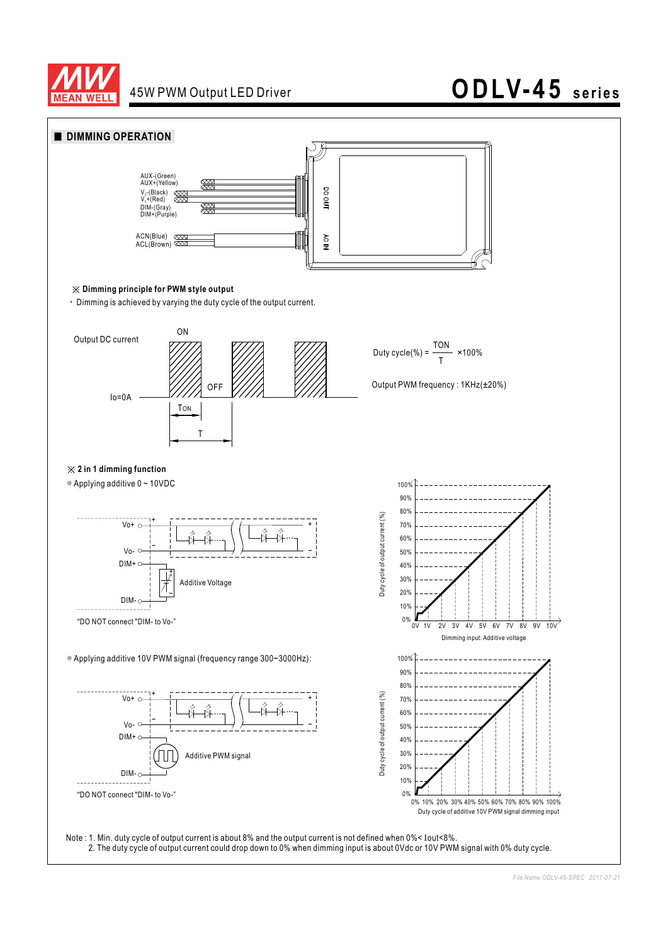

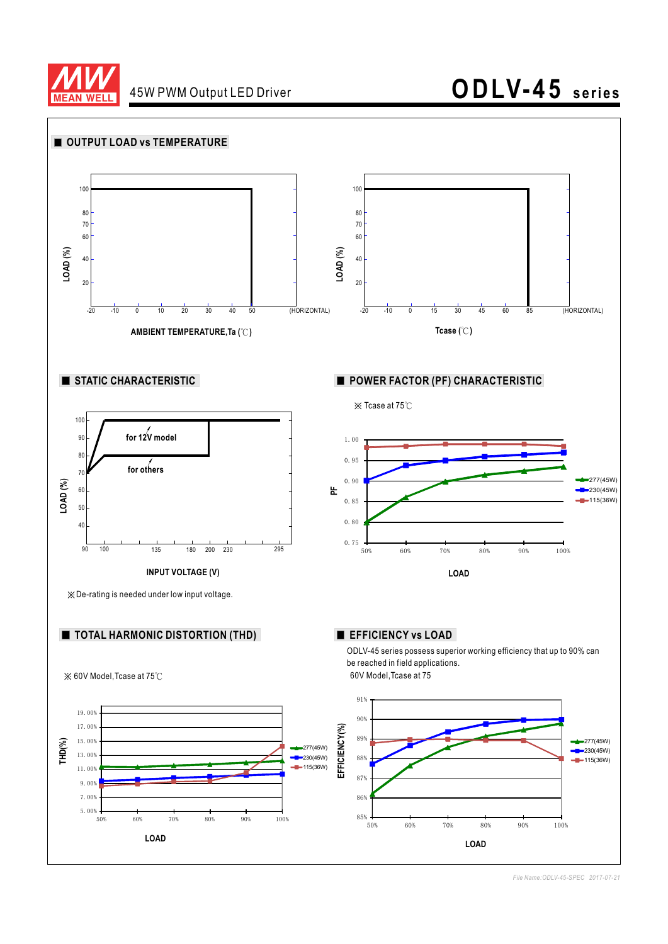

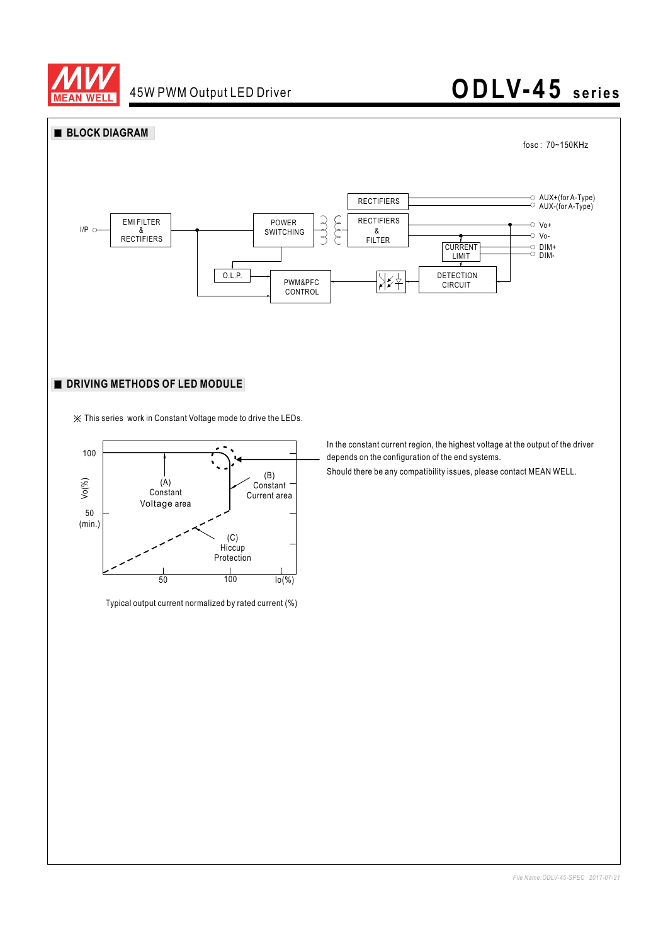



※ This series work in Constant Voltage mode to drive the LEDs.



Typical output current normalized by rated current (%)

In the constant current region, the highest voltage at the output of the driver depends on the configuration of the end systems.

Should there be any compatibility issues, please contact MEAN WELL.